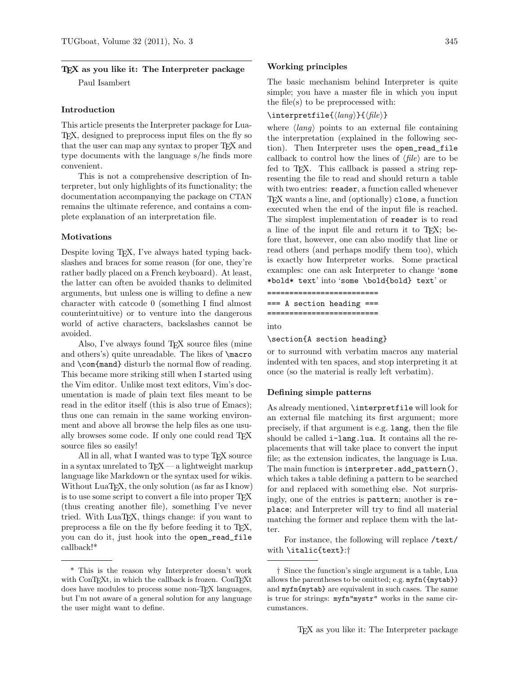# TEX as you like it: The Interpreter package Paul Isambert

#### Introduction

This article presents the Interpreter package for Lua-TEX, designed to preprocess input files on the fly so that the user can map any syntax to proper T<sub>E</sub>X and type documents with the language s/he finds more convenient.

This is not a comprehensive description of Interpreter, but only highlights of its functionality; the documentation accompanying the package on CTAN remains the ultimate reference, and contains a complete explanation of an interpretation file.

## Motivations

Despite loving TEX, I've always hated typing backslashes and braces for some reason (for one, they're rather badly placed on a French keyboard). At least, the latter can often be avoided thanks to delimited arguments, but unless one is willing to define a new character with catcode 0 (something I find almost counterintuitive) or to venture into the dangerous world of active characters, backslashes cannot be avoided.

Also, I've always found T<sub>E</sub>X source files (mine and others's) quite unreadable. The likes of \macro and \com{mand} disturb the normal flow of reading. This became more striking still when I started using the Vim editor. Unlike most text editors, Vim's documentation is made of plain text files meant to be read in the editor itself (this is also true of Emacs); thus one can remain in the same working environment and above all browse the help files as one usually browses some code. If only one could read TEX source files so easily!

All in all, what I wanted was to type T<sub>F</sub>X source in a syntax unrelated to  $T_FX$  — a lightweight markup language like Markdown or the syntax used for wikis. Without LuaT<sub>EX</sub>, the only solution (as far as I know) is to use some script to convert a file into proper T<sub>F</sub>X (thus creating another file), something I've never tried. With LuaTEX, things change: if you want to preprocess a file on the fly before feeding it to TEX, you can do it, just hook into the open\_read\_file callback!\*

#### Working principles

The basic mechanism behind Interpreter is quite simple; you have a master file in which you input the file(s) to be preprocessed with:

## \interpretfile{ $\langle$ *lang*}}{ $\langle$ *file*}}

where  $\langle \text{lang} \rangle$  points to an external file containing the interpretation (explained in the following section). Then Interpreter uses the open\_read\_file callback to control how the lines of  $\langle file \rangle$  are to be fed to T<sub>F</sub>X. This callback is passed a string representing the file to read and should return a table with two entries: reader, a function called whenever TEX wants a line, and (optionally) close, a function executed when the end of the input file is reached. The simplest implementation of reader is to read a line of the input file and return it to TEX; before that, however, one can also modify that line or read others (and perhaps modify them too), which is exactly how Interpreter works. Some practical examples: one can ask Interpreter to change 'some \*bold\* text' into 'some \bold{bold} text' or

========================= === A section heading === =========================

into

### \section{A section heading}

or to surround with verbatim macros any material indented with ten spaces, and stop interpreting it at once (so the material is really left verbatim).

## Defining simple patterns

As already mentioned, \interpretfile will look for an external file matching its first argument; more precisely, if that argument is e.g. lang, then the file should be called i-lang.lua. It contains all the replacements that will take place to convert the input file; as the extension indicates, the language is Lua. The main function is interpreter.add\_pattern(), which takes a table defining a pattern to be searched for and replaced with something else. Not surprisingly, one of the entries is pattern; another is replace; and Interpreter will try to find all material matching the former and replace them with the latter.

For instance, the following will replace /text/ with \italic{text}:†

<sup>\*</sup> This is the reason why Interpreter doesn't work with ConTEXt, in which the callback is frozen. ConTEXt does have modules to process some non-TEX languages, but I'm not aware of a general solution for any language the user might want to define.

<sup>†</sup> Since the function's single argument is a table, Lua allows the parentheses to be omitted; e.g. myfn({mytab}) and myfn{mytab} are equivalent in such cases. The same is true for strings: myfn"mystr" works in the same circumstances.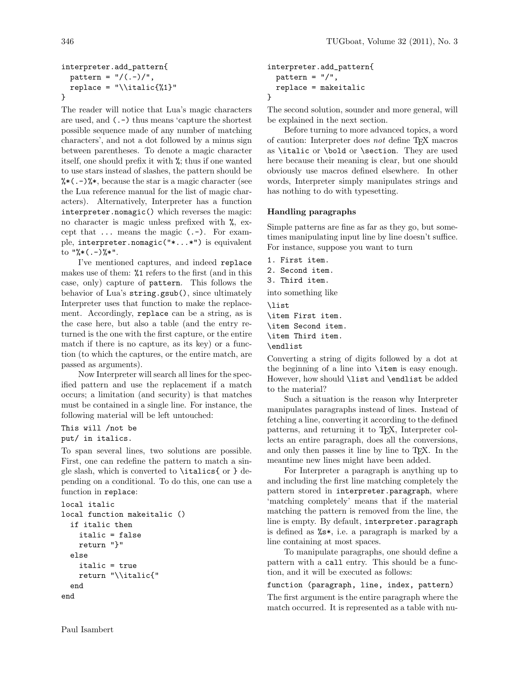# interpreter.add\_pattern{  $pattern = "/(. -) /",$ replace =  $"\tilde{\{}1}\"$ }

The reader will notice that Lua's magic characters are used, and (.-) thus means 'capture the shortest possible sequence made of any number of matching characters', and not a dot followed by a minus sign between parentheses. To denote a magic character itself, one should prefix it with %; thus if one wanted to use stars instead of slashes, the pattern should be  $\frac{1}{6}$  (.-)  $\frac{1}{6}$ , because the star is a magic character (see the Lua reference manual for the list of magic characters). Alternatively, Interpreter has a function interpreter.nomagic() which reverses the magic: no character is magic unless prefixed with %, except that ... means the magic (.-). For example, interpreter.nomagic("\*...\*") is equivalent to  $"\%*(.-)$ % $*"$ .

I've mentioned captures, and indeed replace makes use of them: %1 refers to the first (and in this case, only) capture of pattern. This follows the behavior of Lua's string.gsub(), since ultimately Interpreter uses that function to make the replacement. Accordingly, replace can be a string, as is the case here, but also a table (and the entry returned is the one with the first capture, or the entire match if there is no capture, as its key) or a function (to which the captures, or the entire match, are passed as arguments).

Now Interpreter will search all lines for the specified pattern and use the replacement if a match occurs; a limitation (and security) is that matches must be contained in a single line. For instance, the following material will be left untouched:

```
This will /not be
put/ in italics.
```
To span several lines, two solutions are possible. First, one can redefine the pattern to match a single slash, which is converted to \italics{ or } depending on a conditional. To do this, one can use a function in replace:

```
local italic
local function makeitalic ()
  if italic then
    italic = false
    return "}"
  else
    italic = true
    return "\\italic{"
  end
end
```

```
interpreter.add_pattern{
  pattern = "/",replace = makeitalic
}
```
The second solution, sounder and more general, will be explained in the next section.

Before turning to more advanced topics, a word of caution: Interpreter does not define TFX macros as \italic or \bold or \section. They are used here because their meaning is clear, but one should obviously use macros defined elsewhere. In other words, Interpreter simply manipulates strings and has nothing to do with typesetting.

# Handling paragraphs

Simple patterns are fine as far as they go, but sometimes manipulating input line by line doesn't suffice. For instance, suppose you want to turn

1. First item.

2. Second item.

3. Third item.

into something like

\list \item First item. \item Second item. \item Third item. \endlist

Converting a string of digits followed by a dot at the beginning of a line into \item is easy enough. However, how should \list and \endlist be added to the material?

Such a situation is the reason why Interpreter manipulates paragraphs instead of lines. Instead of fetching a line, converting it according to the defined patterns, and returning it to TEX, Interpreter collects an entire paragraph, does all the conversions, and only then passes it line by line to TEX. In the meantime new lines might have been added.

For Interpreter a paragraph is anything up to and including the first line matching completely the pattern stored in interpreter.paragraph, where 'matching completely' means that if the material matching the pattern is removed from the line, the line is empty. By default, interpreter.paragraph is defined as %s\*, i.e. a paragraph is marked by a line containing at most spaces.

To manipulate paragraphs, one should define a pattern with a call entry. This should be a function, and it will be executed as follows:

function (paragraph, line, index, pattern)

The first argument is the entire paragraph where the match occurred. It is represented as a table with nu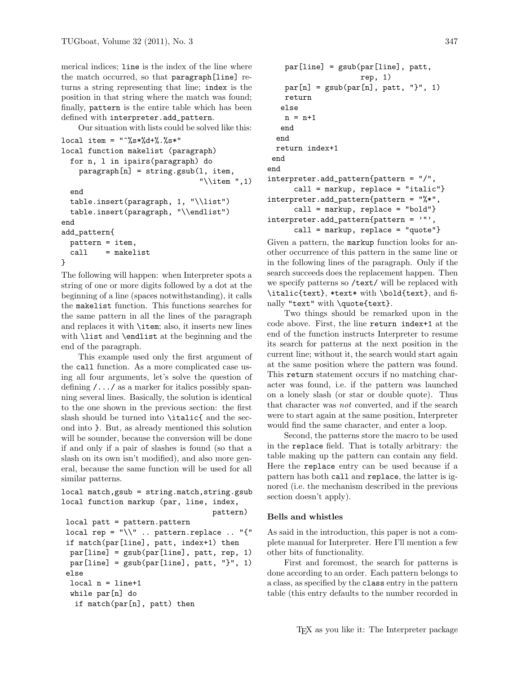merical indices; line is the index of the line where the match occurred, so that paragraph[line] returns a string representing that line; index is the position in that string where the match was found; finally, pattern is the entire table which has been defined with interpreter.add\_pattern.

Our situation with lists could be solved like this:

```
local item = "^%s*%d*".local function makelist (paragraph)
  for n, l in ipairs(paragraph) do
    \text{param}[\text{n}] = \text{string}.\text{gsub}(1, \text{item}),"\\item ",1)
  end
  table.insert(paragraph, 1, "\\list")
  table.insert(paragraph, "\\endlist")
end
add_pattern{
  pattern = item,
  call = makelist
}
```
The following will happen: when Interpreter spots a string of one or more digits followed by a dot at the beginning of a line (spaces notwithstanding), it calls the makelist function. This functions searches for the same pattern in all the lines of the paragraph and replaces it with \item; also, it inserts new lines with **\list** and **\endlist** at the beginning and the end of the paragraph.

This example used only the first argument of the call function. As a more complicated case using all four arguments, let's solve the question of defining  $/\ldots/\;$  as a marker for italics possibly spanning several lines. Basically, the solution is identical to the one shown in the previous section: the first slash should be turned into \italic{ and the second into }. But, as already mentioned this solution will be sounder, because the conversion will be done if and only if a pair of slashes is found (so that a slash on its own isn't modified), and also more general, because the same function will be used for all similar patterns.

```
local match,gsub = string.match,string.gsub
local function markup (par, line, index,
                                  pattern)
local patt = pattern.pattern
```

```
local rep = "\
\cdot ... pattern.replace .. "{"
if match(par[line], patt, index+1) then
 par[line] = gsub(par[line], patt, rep, 1)
par[line] = gsub(par[line], patt, "}", 1)else
 local n = line+1while par[n] do
  if match(par[n], patt) then
```

```
par[line] = gsub(par[line], patt,rep, 1)
   par[n] = gsub(par[n], patt, "}", 1)return
   else
   n = n+1end
 end
 return index+1
 end
end
interpreter.add_pattern{pattern = "/",
     call = markup, replace = "italic"}
interpreter.add_pattern{pattern = "%*",
      call = markup, replace = "bold"}
interpreter.add_pattern{pattern = '"',
      call = markup, replace = "quote"}
```
Given a pattern, the markup function looks for another occurrence of this pattern in the same line or in the following lines of the paragraph. Only if the search succeeds does the replacement happen. Then we specify patterns so /text/ will be replaced with \italic{text}, \*text\* with \bold{text}, and finally "text" with \quote{text}.

Two things should be remarked upon in the code above. First, the line return index+1 at the end of the function instructs Interpreter to resume its search for patterns at the next position in the current line; without it, the search would start again at the same position where the pattern was found. This return statement occurs if no matching character was found, i.e. if the pattern was launched on a lonely slash (or star or double quote). Thus that character was not converted, and if the search were to start again at the same position, Interpreter would find the same character, and enter a loop.

Second, the patterns store the macro to be used in the replace field. That is totally arbitrary: the table making up the pattern can contain any field. Here the replace entry can be used because if a pattern has both call and replace, the latter is ignored (i.e. the mechanism described in the previous section doesn't apply).

### Bells and whistles

As said in the introduction, this paper is not a complete manual for Interpreter. Here I'll mention a few other bits of functionality.

First and foremost, the search for patterns is done according to an order. Each pattern belongs to a class, as specified by the class entry in the pattern table (this entry defaults to the number recorded in